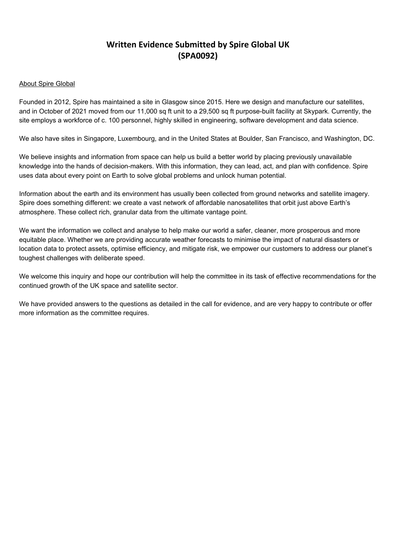# **Written Evidence Submitted by Spire Global UK (SPA0092)**

#### About Spire Global

Founded in 2012, Spire has maintained a site in Glasgow since 2015. Here we design and manufacture our satellites, and in October of 2021 moved from our 11,000 sq ft unit to a 29,500 sq ft purpose-built facility at Skypark. Currently, the site employs a workforce of c. 100 personnel, highly skilled in engineering, software development and data science.

We also have sites in Singapore, Luxembourg, and in the United States at Boulder, San Francisco, and Washington, DC.

We believe insights and information from space can help us build a better world by placing previously unavailable knowledge into the hands of decision-makers. With this information, they can lead, act, and plan with confidence. Spire uses data about every point on Earth to solve global problems and unlock human potential.

Information about the earth and its environment has usually been collected from ground networks and satellite imagery. Spire does something different: we create a vast network of affordable nanosatellites that orbit just above Earth's atmosphere. These collect rich, granular data from the ultimate vantage point.

We want the information we collect and analyse to help make our world a safer, cleaner, more prosperous and more equitable place. Whether we are providing accurate weather forecasts to minimise the impact of natural disasters or location data to protect assets, optimise efficiency, and mitigate risk, we empower our customers to address our planet's toughest challenges with deliberate speed.

We welcome this inquiry and hope our contribution will help the committee in its task of effective recommendations for the continued growth of the UK space and satellite sector.

We have provided answers to the questions as detailed in the call for evidence, and are very happy to contribute or offer more information as the committee requires.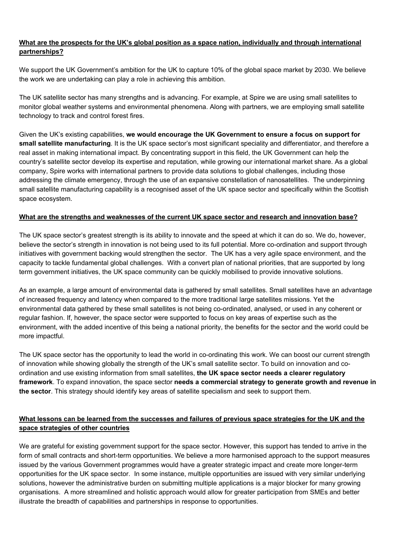# What are the prospects for the UK's global position as a space nation, individually and through international **partnerships?**

We support the UK Government's ambition for the UK to capture 10% of the global space market by 2030. We believe the work we are undertaking can play a role in achieving this ambition.

The UK satellite sector has many strengths and is advancing. For example, at Spire we are using small satellites to monitor global weather systems and environmental phenomena. Along with partners, we are employing small satellite technology to track and control forest fires.

Given the UK's existing capabilities, **we would encourage the UK Government to ensure a focus on support for small satellite manufacturing**. It is the UK space sector's most significant speciality and differentiator, and therefore a real asset in making international impact. By concentrating support in this field, the UK Government can help the country's satellite sector develop its expertise and reputation, while growing our international market share. As a global company, Spire works with international partners to provide data solutions to global challenges, including those addressing the climate emergency, through the use of an expansive constellation of nanosatellites. The underpinning small satellite manufacturing capability is a recognised asset of the UK space sector and specifically within the Scottish space ecosystem.

## **What are the strengths and weaknesses of the current UK space sector and research and innovation base?**

The UK space sector's greatest strength is its ability to innovate and the speed at which it can do so. We do, however, believe the sector's strength in innovation is not being used to its full potential. More co-ordination and support through initiatives with government backing would strengthen the sector. The UK has a very agile space environment, and the capacity to tackle fundamental global challenges. With a convert plan of national priorities, that are supported by long term government initiatives, the UK space community can be quickly mobilised to provide innovative solutions.

As an example, a large amount of environmental data is gathered by small satellites. Small satellites have an advantage of increased frequency and latency when compared to the more traditional large satellites missions. Yet the environmental data gathered by these small satellites is not being co-ordinated, analysed, or used in any coherent or regular fashion. If, however, the space sector were supported to focus on key areas of expertise such as the environment, with the added incentive of this being a national priority, the benefits for the sector and the world could be more impactful.

The UK space sector has the opportunity to lead the world in co-ordinating this work. We can boost our current strength of innovation while showing globally the strength of the UK's small satellite sector. To build on innovation and coordination and use existing information from small satellites, **the UK space sector needs a clearer regulatory framework**. To expand innovation, the space sector **needs a commercial strategy to generate growth and revenue in the sector**. This strategy should identify key areas of satellite specialism and seek to support them.

## What lessons can be learned from the successes and failures of previous space strategies for the UK and the **space strategies of other countries**

We are grateful for existing government support for the space sector. However, this support has tended to arrive in the form of small contracts and short-term opportunities. We believe a more harmonised approach to the support measures issued by the various Government programmes would have a greater strategic impact and create more longer-term opportunities for the UK space sector. In some instance, multiple opportunities are issued with very similar underlying solutions, however the administrative burden on submitting multiple applications is a major blocker for many growing organisations. A more streamlined and holistic approach would allow for greater participation from SMEs and better illustrate the breadth of capabilities and partnerships in response to opportunities.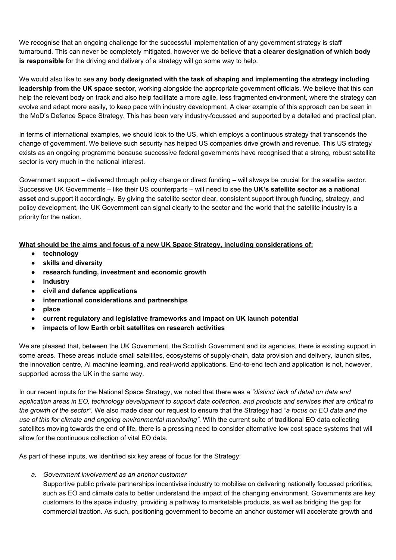We recognise that an ongoing challenge for the successful implementation of any government strategy is staff turnaround. This can never be completely mitigated, however we do believe **that a clearer designation of which body is responsible** for the driving and delivery of a strategy will go some way to help.

We would also like to see **any body designated with the task of shaping and implementing the strategy including leadership from the UK space sector**, working alongside the appropriate government officials. We believe that this can help the relevant body on track and also help facilitate a more agile, less fragmented environment, where the strategy can evolve and adapt more easily, to keep pace with industry development. A clear example of this approach can be seen in the MoD's Defence Space Strategy. This has been very industry-focussed and supported by a detailed and practical plan.

In terms of international examples, we should look to the US, which employs a continuous strategy that transcends the change of government. We believe such security has helped US companies drive growth and revenue. This US strategy exists as an ongoing programme because successive federal governments have recognised that a strong, robust satellite sector is very much in the national interest.

Government support – delivered through policy change or direct funding – will always be crucial for the satellite sector. Successive UK Governments – like their US counterparts – will need to see the **UK's satellite sector as a national asset** and support it accordingly. By giving the satellite sector clear, consistent support through funding, strategy, and policy development, the UK Government can signal clearly to the sector and the world that the satellite industry is a priority for the nation.

**What should be the aims and focus of a new UK Space Strategy, including considerations of:**

- **technology**
- **skills and diversity**
- **research funding, investment and economic growth**
- **industry**
- **civil and defence applications**
- **international considerations and partnerships**
- **place**
- **current regulatory and legislative frameworks and impact on UK launch potential**
- **impacts of low Earth orbit satellites on research activities**

We are pleased that, between the UK Government, the Scottish Government and its agencies, there is existing support in some areas. These areas include small satellites, ecosystems of supply-chain, data provision and delivery, launch sites, the innovation centre, AI machine learning, and real-world applications. End-to-end tech and application is not, however, supported across the UK in the same way.

In our recent inputs for the National Space Strategy, we noted that there was a *"distinct lack of detail on data and* application areas in EO, technology development to support data collection, and products and services that are critical to *the growth of the sector"*. We also made clear our request to ensure that the Strategy had *"a focus on EO data and the use of this for climate and ongoing environmental monitoring"*. With the current suite of traditional EO data collecting satellites moving towards the end of life, there is a pressing need to consider alternative low cost space systems that will allow for the continuous collection of vital EO data.

As part of these inputs, we identified six key areas of focus for the Strategy:

*a. Government involvement as an anchor customer*

Supportive public private partnerships incentivise industry to mobilise on delivering nationally focussed priorities, such as EO and climate data to better understand the impact of the changing environment. Governments are key customers to the space industry, providing a pathway to marketable products, as well as bridging the gap for commercial traction. As such, positioning government to become an anchor customer will accelerate growth and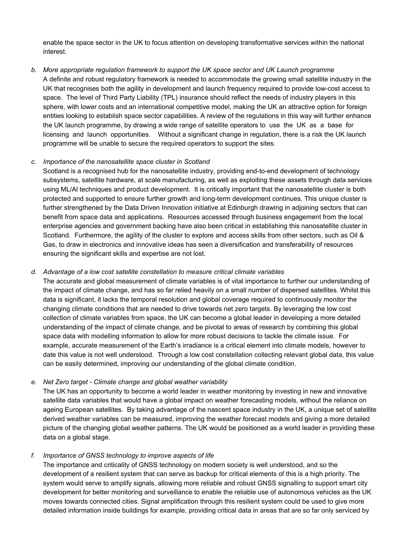enable the space sector in the UK to focus attention on developing transformative services within the national interest.

*b. More appropriate regulation framework to support the UK space sector and UK Launch programme* A definite and robust regulatory framework is needed to accommodate the growing small satellite industry in the UK that recognises both the agility in development and launch frequency required to provide low-cost access to space. The level of Third Party Liability (TPL) insurance should reflect the needs of industry players in this sphere, with lower costs and an international competitive model, making the UK an attractive option for foreign entities looking to establish space sector capabilities. A review of the regulations in this way will further enhance the UK launch programme, by drawing a wide range of satellite operators to use the UK as a base for licensing and launch opportunities. Without a significant change in regulation, there is a risk the UK launch programme will be unable to secure the required operators to support the sites.

#### *c. Importance of the nanosatellite space cluster in Scotland*

Scotland is a recognised hub for the nanosatellite industry, providing end-to-end development of technology subsystems, satellite hardware, at scale manufacturing, as well as exploiting these assets through data services using ML/Al techniques and product development. It is critically important that the nanosatellite cluster is both protected and supported to ensure further growth and long-term development continues. This unique cluster is further strengthened by the Data Driven Innovation initiative at Edinburgh drawing in adjoining sectors that can benefit from space data and applications. Resources accessed through business engagement from the local enterprise agencies and government backing have also been critical in establishing this nanosatellite cluster in Scotland. Furthermore, the agility of the cluster to explore and access skills from other sectors, such as Oil & Gas, to draw in electronics and innovative ideas has seen a diversification and transferability of resources ensuring the significant skills and expertise are not lost.

## *d. Advantage of a low cost satellite constellation to measure critical climate variables*

The accurate and global measurement of climate variables is of vital importance to further our understanding of the impact of climate change, and has so far relied heavily on a small number of dispersed satellites. Whilst this data is significant, it lacks the temporal resolution and global coverage required to continuously monitor the changing climate conditions that are needed to drive towards net zero targets. By leveraging the low cost collection of climate variables from space, the UK can become a global leader in developing a more detailed understanding of the impact of climate change, and be pivotal to areas of research by combining this global space data with modelling information to allow for more robust decisions to tackle the climate issue. For example, accurate measurement of the Earth's irradiance is a critical element into climate models, however to date this value is not well understood. Through a low cost constellation collecting relevant global data, this value can be easily determined, improving our understanding of the global climate condition.

## *e. Net Zero target - Climate change and global weather variability*

The UK has an opportunity to become a world leader in weather monitoring by investing in new and innovative satellite data variables that would have a global impact on weather forecasting models, without the reliance on ageing European satellites. By taking advantage of the nascent space industry in the UK, a unique set of satellite derived weather variables can be measured, improving the weather forecast models and giving a more detailed picture of the changing global weather patterns. The UK would be positioned as a world leader in providing these data on a global stage.

## *f. Importance of GNSS technology to improve aspects of life*

The importance and criticality of GNSS technology on modern society is well understood, and so the development of a resilient system that can serve as backup for critical elements of this is a high priority. The system would serve to amplify signals, allowing more reliable and robust GNSS signalling to support smart city development for better monitoring and surveillance to enable the reliable use of autonomous vehicles as the UK moves towards connected cities. Signal amplification through this resilient system could be used to give more detailed information inside buildings for example, providing critical data in areas that are so far only serviced by